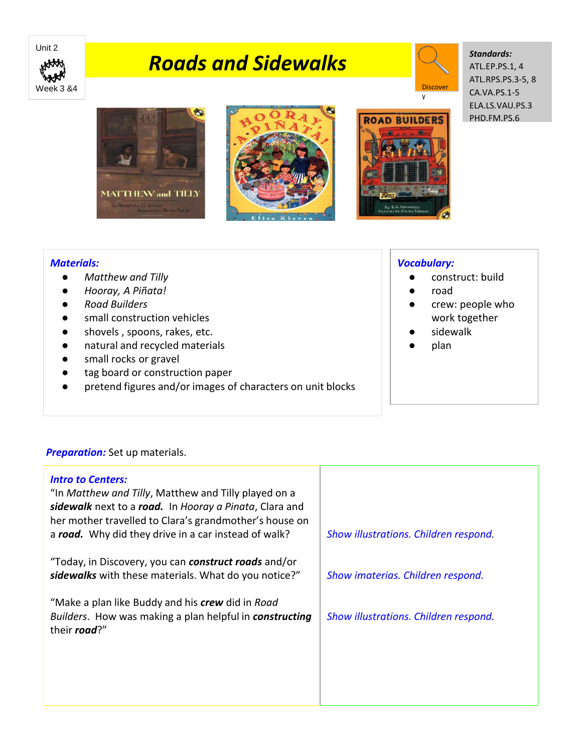

# *Roads and Sidewalks*



y

#### *Standards:* ATL.EP.PS.1, 4 ATL.RPS.PS.3-5, 8 CA.VA.PS.1-5 ELA.LS.VAU.PS.3

PHD.FM.PS.6







### *Vocabulary:*

- construct: build
- road
- crew: people who work together
- sidewalk
- plan

## *Materials:*

- *Matthew and Tilly*
- *Hooray, A Piñata!*
- *Road Builders*
- small construction vehicles
- shovels , spoons, rakes, etc.
- natural and recycled materials
- small rocks or gravel
- tag board or construction paper
- pretend figures and/or images of characters on unit blocks

## **Preparation:** Set up materials.

| <b>Intro to Centers:</b><br>"In Matthew and Tilly, Matthew and Tilly played on a<br>sidewalk next to a road. In Hooray a Pinata, Clara and<br>her mother travelled to Clara's grandmother's house on<br>a road. Why did they drive in a car instead of walk? | Show illustrations. Children respond. |
|--------------------------------------------------------------------------------------------------------------------------------------------------------------------------------------------------------------------------------------------------------------|---------------------------------------|
| "Today, in Discovery, you can <b>construct roads</b> and/or<br>sidewalks with these materials. What do you notice?"                                                                                                                                          | Show imaterias. Children respond.     |
| "Make a plan like Buddy and his crew did in Road<br>Builders. How was making a plan helpful in constructing<br>their road?"                                                                                                                                  | Show illustrations. Children respond. |
|                                                                                                                                                                                                                                                              |                                       |